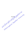RibulsongKrum Ruinbhut alminersity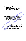## บรรณานุกรม

กรมวิชาการ. (2542). " ธรรมนูญสถานศึกษา" ในเอกสารประกันคุณภาพการศึกษา. กรุงเทพฯ : คุรุสภาลาดพร้าว. (2545). หลักสูตรการศึกษาขั้นพื้นฐาน พุทธศักราช 2544. พิมพ์ครั้งที่ 3 กรุงเทพฯ. : โรงพิมพ์องค์การรับส่งสินค้าและพัสดุภัณฑ์(ร.ส.พ.). กรมส่งเสริมการปกครองท้องถิ่น. (2542). ทารบริหารงานบุคคลสำหรับพนักงานครู เทศบาล. กรุงเทพฯ : กรมส่งเสริมการปกครองส่วนท้องถิ่น. กรมสามัญศึกษา. (2543). การมีส่วนร่วมของชุมชนในการจัดการศึกษาชั้นพื้นฐานระเ มัธยมศึกษา. กรุงเทพฯ : โรงพิมพ์การศาสนา. ึกิติ ดยัคคานนท์. (2536). **นักบริหารทันสมัย, พิมพ์ครั้งที่**4. กรุงเทพฯ : บัต<mark>เดอร์ฟ</mark>ลาย. กิติมา ปรีดีติลก. (2532). **การบริหารและการนิเทศการศึกษาเบื้องต้น,** กรุงเทพฯ : อักษรพิพัฒน์. ้เจริญ เลี่ยมสุวรรณ. (2530). กระบวนการบริหารงา<mark>นของประธานกรร</mark>มการกลุ่มโรงเรียน ประถมศึกษา สังกัดสำนักงานการประถมศึกษาจังหวัดเพชรบุรี, วิทยานิพนธ์ ปริญญามหาบัณฑิต บัณฑิตวิทยาลัย จุฬาลงกรณ์มหาวิทยาลัย. โฉมฉาย พรมปัญญา. (2540). การมีส่วนร่วมของชุมชนในการพัฒนาการประถมศึกษา ระดับอำเภอและระดับจังหวัดของจังหวัดพิษณุโล<mark>ก. วิท</mark>ยานิพนช์ปริญญา มหาบัณฑิต มหาวิทยาลัยนเรศวร. ชำนาญ ปาณาวงษ์. (2544). ปัจจัยที่ส่งผลต่อการมีส่วนร่วมในการจัดการศึกษาโรงเรียน ประณมศึกษา สังกัดสำนักงานการประณหศึกษาจังหวัดกำแพงเพชร : <mark>. กรณีสีกษาพทุกรณี. วิทยานิพนธ์ปริญญามหาบัณฑิต มหาวิทยาลัยนเรศวร.</mark> ชูชาติ พ่วงสมจิตร์. (2540). การวิเ<mark>ดราะท์บั</mark>จจัยที**่ส่งเสริมและบัจจัยที่เป็นอุปสรรคต่อการมี** ์ส่วนร่วมของชุม**ชนกับโรงเรียนประถมศึกษาในเขตปริมณฑล** กรุงเทพมหานคร วิทยานิพนธ์ปริญญามหาบัณฑิต บัณฑิตวิทยาลัย จุพาลงกรณ์ มหาวิทยาลัย. ธงชัย สันดิวงษ์ (2537). อ<mark>งค์การและการบริหาร. พิมพ์ครั้งที่ 9. กรุงเทพฯ :</mark> ไทยวัฒนาพานิช. ี่ ชีววุฒิ ประทุมนพรัตน์ และคณะ. (2530). ภารบริหารและการพิเทศการศึกษา. สงขลา :

เทมการพิมพ์.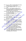นิรันดร์ จงวุฒิเวศย์. (2527). กลวิธีแนวทางการส่งเสริมการมีส่วนร่วมของประชาชนใน งานพัฒนาชุมชน. กรุงเทพฯ : มหาวิทยาลัยเกษตรศาสตร์

บุญชม ศรีสะอาด. (2540). การวิจัยเบื้องต้น. พิมพ์ครั้งที่ 2. กรุงเทพฯ : สุวิริยาสาส์น การพิมพ์.

ประจักษ์ วัฒนศิริ (2543) การมีส่วนร่วมปฏิบัติงานตามหน้าที่ของคณะกรรมการ โรงเรียนประถมศึกษาสังกัดสำนักงานการประถมศึกษาจังหวัดกำแพงเพชร. วิทยานิพนธ์ปริญญามหาบัณฑิต สถาบันราชภัฎกำแพงเพชร.

ประพนธ์ ปิยรัตน์ (2534). "การพัฒนาแบบมีส่วนร่วม" ในเอกสารประกอบการสัมมนา ์วิชาการ เรื่องการพัฒนาแบบมีส่วนร่วม, กรุงเทพฯ : สถาบันพัฒนาก สาธารณสุขอาเซียน. มหาวิทยาลัยมหิดล.

พนัส หันนาคินทร์. (2523). <mark>หลักการบริหารโรงเรียน. พิ</mark>มพ์ครั้งที่ 3. กรุง<mark>เทพ</mark>ฯ วัฒนาพานิช.

ี พัฒน์ สุจำนงค์ และคนอื่นๆ. (2524). **การพัฒนาชุมชนแบบผสมผสานใน**ประเทศไทย กรุงเทพฯ : ไทยวัฒนาพานิช.

ไพฑูรย์ เจริญพันธุวงศ์. (2529). **พฤติ**กรรมดวามเป็<mark>นผู้นำของ</mark>ผู้บริหารของวิทยาลัยครู สุรินทร์. สุรินทร์ : วิทยาลัยครูสุรินทร์.

ไพรัดน์ เตชะรินทร์. (2527). การบริ<mark>หารงานพัฒน</mark>าชนบท. กรุงเทพฯ. : ไทยวัฒนาพานิช. มนัส อินหอม และคณะ. (2534). กระบวนการบริหารโรงเรียนกับการวางขอบข่ายงาน

ความสัมพันธ์ระหว่างโรงเรียนกับชุมชน ของผู้บริหารโรงเรียนประถมศึกษา ์ดีเด่น สั<mark>งกัดสำนัก</mark>งานการประถมศึกษาจังหวัดพิษณุโลก. วิทยานิพนธ์ปริญญา มหาบัณฑิต มหาวิทยาลัยนเรศวร.

<u>เมตต์ เมตต์การุณ์จีต. (2541). การมีส่วนร่วมในการบริหารโรงเรียนของคณะกรรมการ</u> ี่สึกษาประจำโรงเรียนเทศบาลในจังหวัดนครราชสีมา. วิทยานิพนธ์ปริญญา มหาบัณฑิต บั**ณฑิตวิท**ยาลัย มหาวิทยาลัย**สุโขทัยธรรมาธิราช.** 

าภรณ์ วงศ์ไหญ่ (2540). <mark>ภารมีส่วนร่วมของชุมชนในการพัฒนาการศึกษาของ</mark> โรงเรียนประถมศึกษา สังกัดสำนักงานการประถมศึกษาจังหวัดพิษณุโลก. . จิทยานิพนธ์บริญญามหาบัณฑิต มหาวิทยาลัยนเรศวร.

วันชัย <mark>รอดฉาย. (2544) ศักยภาพชุมชนที่มีส่วนร่วมในการพัฒนาโรงเรียนประถมศึกษา</mark> อย่างมีประสิทธิผล : กรณีศึกษาชุมชนบ้านหนองน้ำดำ จังหวัดกำแพงเพชร. วิทยานิพนธ์ปริญญามหาบัณฑิต มหาวิทยาลัยนเรศวร.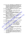วาด หนูมา และคณะ. (2540). การศึกษาปัจจัยและกระบวนการที่ชุมชนมีส่วนร่วมในการ พัฒนาโรงเรียนประถมศึกษาที่มีประสิทธิผลต่อคุณภาพการศึกษา : ศึกษา เปรียบเทียบเฉพาะกรณีโรงเรียนดีเด่นรางวัลพระราชทานในจังหวัดชัยนาท และอุทัยธานี วิทยานิพนธ์ปริญญามหาบัณฑิต มหาวิทยาลัยนเรศวร.

วิราพร พงศ์อาจารย์. (2542). ความรู้พื้นฐานเกี่ยวกับการวิจัย, พิษณุโลก : คณะครุศาสตร์ สถาบันราชภัฏพิบลสงคราม.

วิโรงน์ สารรัตนะ. (2542). การบริหาร หลักการ ทฤษฎี และประเด็นทางการศึกษา. กรุงเทพฯ. : โรงพิมพ์ทิพยวิสุทธิ์.

วิไลพร สมบูรณ์ชัย. (2534). การมีส่วนร่วมของ**ผู้นำอาสาสมัครพัฒนาชุ**มชน ในการ อนุรัก**ษ์ทรัพยากรธรรมชาติ จังหวัดลำปาง.** วิทยานิพน<del>ธ์</del>ปริญญามหาบัณฑิต บัณฑิตวิทยาลัย มหาวิทยาลัยมหิดล.

์ศิริกาญจน์ โกสุมภ์. (2542). **การมีส่วนร่วมของชุมชนและโรง**เรียนเพื่<mark>อการจัดการศึกษา</mark> **ขั้นพื้นฐาน.** วิทยานิพนธ์ปริญญามหาบัณฑิต สาขาพัฒน<mark>ทึกษาศ</mark>าสตร์ บัณฑิตวิทยาลัย มหาวิทยาลัยศรีนครินทุ<u>รวิโรฒ</u>,

- ์ศิริวรรณ ดันดระวิวัฒน์ (2530) ถารบริหารแบบมีส่<mark>วนร่วม ตึกษาเฉพาะกรณีการไฟฟ้</mark> **ฝ่ายผลิตแห่งประเทศไ**ทย. วิทยานิพนชั้ปริญญามหาบัณฑิต *ม*หาวิทยาลัย นเรศวร.
- สมเคช สีแสง. (2540). คู่มือบริหารโรงเรียนประถมศึกษาตาม พ.ร.บ. การศึกษาแห่งชาติ. พิษณุโลก : สำนักงานเขตพื้นที่การศึกษาพิษณุโลก เขต 1.
- สมหวัง พิธยานุวัฒน์ (2541) การศึกษาความจำเป็<mark>นในการพัฒนาผู้บริหารโรงเรียน</mark> ประสมศึกษา, กรุงเทพฯ : คณะคร**ุดาสตร์ จุฬาลงกรณ์มหาวิทยาลัย.**

สำนักงานการปลัดกระทรวงศึกษาธิการ. (2541). แผนพัฒนาการศึกษาศาสนาและ วัฒนธรรมระยะที่ 8 (พ.ศ. 2540 - 2544) ของกระทรวงศึกษาธิการ.

ักรุงเทพฯ : โรงพิม<mark>พ์คุรุสภ</mark>า.

(2540). แนวทางทารปฏิรูปโรงเรียนและสถานศึกษาตามนโยบายการปฏิรูป การศึกษา. กรุงเทพฯ : โรงพิมพ์คุรุสภา.

ลำนักงานคณะกรรมการการประถมศึกษาแห่งชาติ . (2535). แผนการศึกษาแห่งชาติ พ.ศ. 14 2535. กรุงเทพฯ : ศรีเมืองการพิมพ์.

> . (2540). ระเบียบกระทรวงศึกษาธิการว่าด้วยการแต่งตั้งคณะกรรมการศึกษา ประจำโรงเรียนประถมศึกษา พ.ศ. 2525, กรุงเทพฯ : องค์การค้าคุรุสภา.

. (2541ก). รัฐธรรมนูญแห่งราชอาณาจักรไทย ทุทธศักราช 2540. กรุงเทพฯ : โรงพืมพ์การศาสนา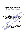สำนักงานคณะกรรมการการประถมศึกษาแห่งชาติ , (2541ข), เอกสารชุดการประกัน

คุณภาพการศึกษา เล่ม 6 : เทคนิคการพัฒนางานเพื่อสู่มาตรฐาน. กรุงเทพฯ : โรงพิมพ์คุรุสภาลาดพร้าว,

- . (2543n). แนวทางการดำเนินงานของคณะกรรมการสถานศึกษาขั้นพื้นฐาน. กรุงเทพฯ : โรงพิมพ์ครุสภาลาดพร้าว.
- \_. (2543 ข). ระเบียบกระทรวงศึกษาธิการว่าด้วยคณะกรรมการสถานศึกษา ขั้นพื้นฐาน พ.ศ. 2543. กรุงเทพฯ : ตำนักงานคณะกรรมการการประถมศึกษา แห่งชาติ, อัดสำเนา.
- . (2545). ชุดฝึกอบรม การพัฒนาหลักสูตรสถานศึกษา วิถีสู่การปฏิรูป กระบวนการเรียนรู้ทั้งระบบ. กรุงเทพฯ. : สำนักงาน.

\_\_. (ม.ป.ป.), ระเบียบกระทรวงศึกษาธิการว่าด้วยตณะกรรมการโรงเรียน <mark>ประถมศึกษา พ.ศ. 2539.</mark> กรุงเทพฯ : สำนักงานคณะกรรม<mark>การการป</mark>ระถมศึกษา แห่งชาติ. (อัดสำเนา).

สำนักงานคณะกรรมการพัฒนาเศรษฐกิจและสังคมแห่งชาติ. (2539). แผนพัฒนาเศรษฐกิจ นละสังคมแห่งชาติ ฉบับที่ 8 พ.ศ. 2540 - 2544. กรุงเทพฯ : เม็ดทรายพรินติ้ง.

สำนักงานคณะกรรมการสถานศึกษาแห่งชาติ. (2546). เอกสารประกอบการศึกษาด้วย

ดนเองหลักสูตรผู้ช่วยผู้บริหรรสถานศึกษาและผู้บริหารสถานศึกษา. ุกรุงเทพฯ : สำนักงานคณะกรรมการสถานศึกษาแห่งชาติ.

- สำนักงานปฏิรูปการศึกษา, (2539), ปฏิรูปการศึกษา, กรุงเทพฯ ; สำนักงานการปฏิรูป การศึกษา...
- สิริ เทศประสิทธิ์และคณะ. (2526). บทบาทผู้บริหารสถานศึกษาใ**นฐานะผู้ให้บริการแก่** ชุมชนในเอกสารชุดวิชาโรง<mark>เรียน</mark>กับชุมชน หน่วยที่ 8 – 15. กรุงเทพฯ : ตาขาวิชาศึกษาศาสตร์ มหาวิทยาลัยสุโขทัยธรรมาธิราช.

ัศน์ วัฒนสุทธิ. (2544). สภาพการมีส่วนร่วมบริหารโรงเรียนของกรรมการโรงเรียน ประถมศึกษา สังกัดงานการปร<mark>ะถมศึกษาจังหวัดพิษณุโลก.</mark> วิทยานิพนธ์ ปริญญามหาบัณฑิต มหาวิทยาลัยนเรศวร.

ลุพิชญา <mark>, ชีระกุล. (25</mark>25). ควา**มสัมพันธ์ระหว่างโรงเรียนกับชุมชน. พิมพ์ครั้งที่ 2. พิษณุโลก :** ภาควิชาการบริหารการศึกษา คณะศึกษาศาสตร์ มหาวิทยาลัยศรีนครินทวิโรฒ พิษณุโลก, (อัตตำแนา)